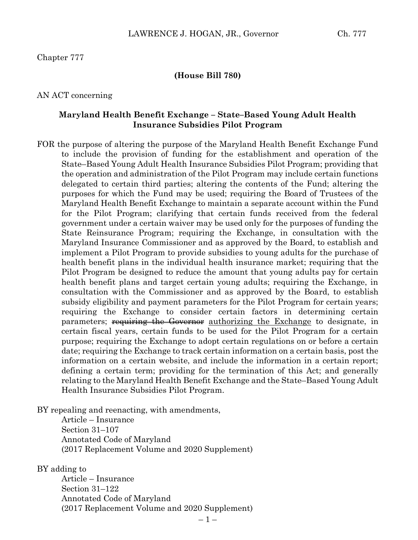### Chapter 777

#### **(House Bill 780)**

#### AN ACT concerning

### **Maryland Health Benefit Exchange – State–Based Young Adult Health Insurance Subsidies Pilot Program**

FOR the purpose of altering the purpose of the Maryland Health Benefit Exchange Fund to include the provision of funding for the establishment and operation of the State–Based Young Adult Health Insurance Subsidies Pilot Program; providing that the operation and administration of the Pilot Program may include certain functions delegated to certain third parties; altering the contents of the Fund; altering the purposes for which the Fund may be used; requiring the Board of Trustees of the Maryland Health Benefit Exchange to maintain a separate account within the Fund for the Pilot Program; clarifying that certain funds received from the federal government under a certain waiver may be used only for the purposes of funding the State Reinsurance Program; requiring the Exchange, in consultation with the Maryland Insurance Commissioner and as approved by the Board, to establish and implement a Pilot Program to provide subsidies to young adults for the purchase of health benefit plans in the individual health insurance market; requiring that the Pilot Program be designed to reduce the amount that young adults pay for certain health benefit plans and target certain young adults; requiring the Exchange, in consultation with the Commissioner and as approved by the Board, to establish subsidy eligibility and payment parameters for the Pilot Program for certain years; requiring the Exchange to consider certain factors in determining certain parameters; requiring the Governor authorizing the Exchange to designate, in certain fiscal years, certain funds to be used for the Pilot Program for a certain purpose; requiring the Exchange to adopt certain regulations on or before a certain date; requiring the Exchange to track certain information on a certain basis, post the information on a certain website, and include the information in a certain report; defining a certain term; providing for the termination of this Act; and generally relating to the Maryland Health Benefit Exchange and the State–Based Young Adult Health Insurance Subsidies Pilot Program.

BY repealing and reenacting, with amendments,

Article – Insurance Section 31–107 Annotated Code of Maryland (2017 Replacement Volume and 2020 Supplement)

BY adding to

Article – Insurance Section 31–122 Annotated Code of Maryland (2017 Replacement Volume and 2020 Supplement)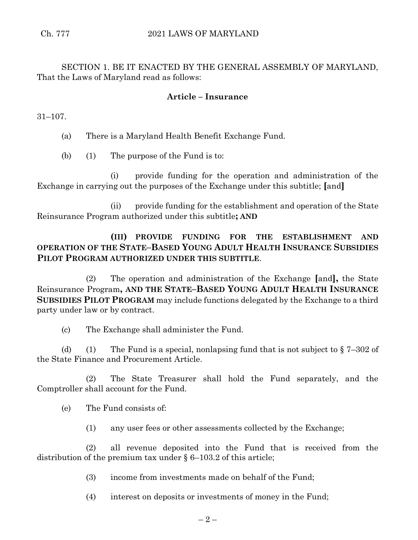SECTION 1. BE IT ENACTED BY THE GENERAL ASSEMBLY OF MARYLAND, That the Laws of Maryland read as follows:

## **Article – Insurance**

31–107.

(a) There is a Maryland Health Benefit Exchange Fund.

(b) (1) The purpose of the Fund is to:

(i) provide funding for the operation and administration of the Exchange in carrying out the purposes of the Exchange under this subtitle; **[**and**]**

(ii) provide funding for the establishment and operation of the State Reinsurance Program authorized under this subtitle**; AND**

# **(III) PROVIDE FUNDING FOR THE ESTABLISHMENT AND OPERATION OF THE STATE–BASED YOUNG ADULT HEALTH INSURANCE SUBSIDIES PILOT PROGRAM AUTHORIZED UNDER THIS SUBTITLE**.

(2) The operation and administration of the Exchange **[**and**],** the State Reinsurance Program**, AND THE STATE–BASED YOUNG ADULT HEALTH INSURANCE SUBSIDIES PILOT PROGRAM** may include functions delegated by the Exchange to a third party under law or by contract.

(c) The Exchange shall administer the Fund.

(d) (1) The Fund is a special, nonlapsing fund that is not subject to  $\S 7-302$  of the State Finance and Procurement Article.

(2) The State Treasurer shall hold the Fund separately, and the Comptroller shall account for the Fund.

(e) The Fund consists of:

(1) any user fees or other assessments collected by the Exchange;

(2) all revenue deposited into the Fund that is received from the distribution of the premium tax under § 6–103.2 of this article;

(3) income from investments made on behalf of the Fund;

(4) interest on deposits or investments of money in the Fund;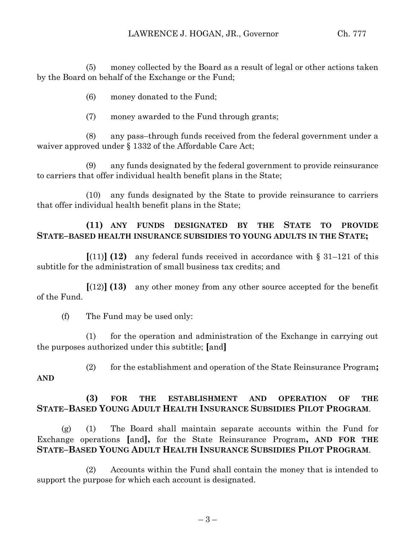(5) money collected by the Board as a result of legal or other actions taken by the Board on behalf of the Exchange or the Fund;

(6) money donated to the Fund;

(7) money awarded to the Fund through grants;

(8) any pass–through funds received from the federal government under a waiver approved under § 1332 of the Affordable Care Act;

(9) any funds designated by the federal government to provide reinsurance to carriers that offer individual health benefit plans in the State;

(10) any funds designated by the State to provide reinsurance to carriers that offer individual health benefit plans in the State;

# **(11) ANY FUNDS DESIGNATED BY THE STATE TO PROVIDE STATE–BASED HEALTH INSURANCE SUBSIDIES TO YOUNG ADULTS IN THE STATE;**

**[(11)] <b>(12)** any federal funds received in accordance with  $\S$  31–121 of this subtitle for the administration of small business tax credits; and

**[**(12)**] (13)** any other money from any other source accepted for the benefit of the Fund.

(f) The Fund may be used only:

**AND**

(1) for the operation and administration of the Exchange in carrying out the purposes authorized under this subtitle; **[**and**]**

(2) for the establishment and operation of the State Reinsurance Program**;**

# **(3) FOR THE ESTABLISHMENT AND OPERATION OF THE STATE–BASED YOUNG ADULT HEALTH INSURANCE SUBSIDIES PILOT PROGRAM**.

(g) (1) The Board shall maintain separate accounts within the Fund for Exchange operations **[**and**],** for the State Reinsurance Program**, AND FOR THE STATE–BASED YOUNG ADULT HEALTH INSURANCE SUBSIDIES PILOT PROGRAM**.

(2) Accounts within the Fund shall contain the money that is intended to support the purpose for which each account is designated.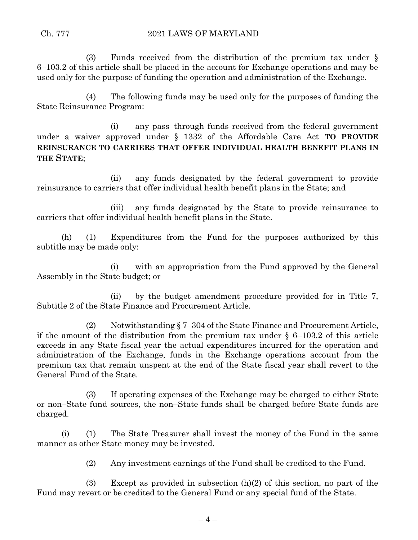(3) Funds received from the distribution of the premium tax under § 6–103.2 of this article shall be placed in the account for Exchange operations and may be used only for the purpose of funding the operation and administration of the Exchange.

(4) The following funds may be used only for the purposes of funding the State Reinsurance Program:

(i) any pass–through funds received from the federal government under a waiver approved under § 1332 of the Affordable Care Act **TO PROVIDE REINSURANCE TO CARRIERS THAT OFFER INDIVIDUAL HEALTH BENEFIT PLANS IN THE STATE**;

(ii) any funds designated by the federal government to provide reinsurance to carriers that offer individual health benefit plans in the State; and

(iii) any funds designated by the State to provide reinsurance to carriers that offer individual health benefit plans in the State.

(h) (1) Expenditures from the Fund for the purposes authorized by this subtitle may be made only:

(i) with an appropriation from the Fund approved by the General Assembly in the State budget; or

(ii) by the budget amendment procedure provided for in Title 7, Subtitle 2 of the State Finance and Procurement Article.

(2) Notwithstanding § 7–304 of the State Finance and Procurement Article, if the amount of the distribution from the premium tax under  $\S$  6–103.2 of this article exceeds in any State fiscal year the actual expenditures incurred for the operation and administration of the Exchange, funds in the Exchange operations account from the premium tax that remain unspent at the end of the State fiscal year shall revert to the General Fund of the State.

(3) If operating expenses of the Exchange may be charged to either State or non–State fund sources, the non–State funds shall be charged before State funds are charged.

(i) (1) The State Treasurer shall invest the money of the Fund in the same manner as other State money may be invested.

(2) Any investment earnings of the Fund shall be credited to the Fund.

(3) Except as provided in subsection (h)(2) of this section, no part of the Fund may revert or be credited to the General Fund or any special fund of the State.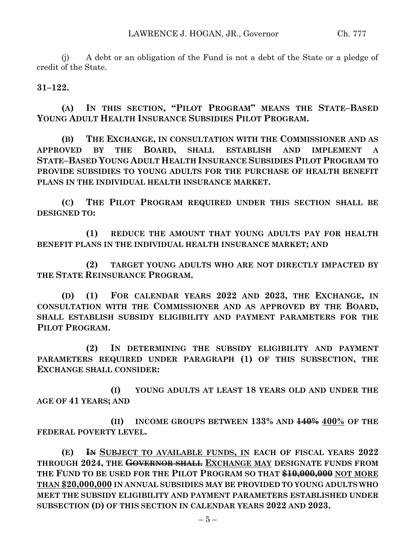(j) A debt or an obligation of the Fund is not a debt of the State or a pledge of credit of the State.

**31–122.**

**(A) IN THIS SECTION, "PILOT PROGRAM" MEANS THE STATE–BASED YOUNG ADULT HEALTH INSURANCE SUBSIDIES PILOT PROGRAM.**

**(B) THE EXCHANGE, IN CONSULTATION WITH THE COMMISSIONER AND AS APPROVED BY THE BOARD, SHALL ESTABLISH AND IMPLEMENT A STATE–BASED YOUNG ADULT HEALTH INSURANCE SUBSIDIES PILOT PROGRAM TO PROVIDE SUBSIDIES TO YOUNG ADULTS FOR THE PURCHASE OF HEALTH BENEFIT PLANS IN THE INDIVIDUAL HEALTH INSURANCE MARKET.**

**(C) THE PILOT PROGRAM REQUIRED UNDER THIS SECTION SHALL BE DESIGNED TO:**

**(1) REDUCE THE AMOUNT THAT YOUNG ADULTS PAY FOR HEALTH BENEFIT PLANS IN THE INDIVIDUAL HEALTH INSURANCE MARKET; AND** 

**(2) TARGET YOUNG ADULTS WHO ARE NOT DIRECTLY IMPACTED BY THE STATE REINSURANCE PROGRAM.**

**(D) (1) FOR CALENDAR YEARS 2022 AND 2023, THE EXCHANGE, IN CONSULTATION WITH THE COMMISSIONER AND AS APPROVED BY THE BOARD, SHALL ESTABLISH SUBSIDY ELIGIBILITY AND PAYMENT PARAMETERS FOR THE PILOT PROGRAM.**

**(2) IN DETERMINING THE SUBSIDY ELIGIBILITY AND PAYMENT PARAMETERS REQUIRED UNDER PARAGRAPH (1) OF THIS SUBSECTION, THE EXCHANGE SHALL CONSIDER:**

**(I) YOUNG ADULTS AT LEAST 18 YEARS OLD AND UNDER THE AGE OF 41 YEARS; AND**

**(II) INCOME GROUPS BETWEEN 133% AND 140% 400% OF THE FEDERAL POVERTY LEVEL.**

**(E) IN SUBJECT TO AVAILABLE FUNDS, IN EACH OF FISCAL YEARS 2022 THROUGH 2024, THE GOVERNOR SHALL EXCHANGE MAY DESIGNATE FUNDS FROM THE FUND TO BE USED FOR THE PILOT PROGRAM SO THAT \$10,000,000 NOT MORE THAN \$20,000,000 IN ANNUAL SUBSIDIES MAY BE PROVIDED TO YOUNG ADULTS WHO MEET THE SUBSIDY ELIGIBILITY AND PAYMENT PARAMETERS ESTABLISHED UNDER SUBSECTION (D) OF THIS SECTION IN CALENDAR YEARS 2022 AND 2023.**